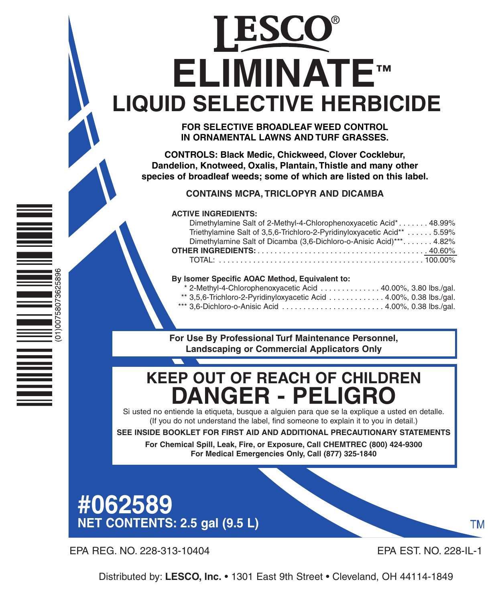# **ELIMINATE™ LIQUID SELECTIVE HERBICIDE**

**FOR SELECTIVE BROADLEAF WEED CONTROL IN ORNAMENTAL LAWNS AND TURF GRASSES.**

**CONTROLS: Black Medic, Chickweed, Clover Cocklebur, Dandelion, Knotweed, Oxalis, Plantain, Thistle and many other species of broadleaf weeds; some of which are listed on this label.**

**CONTAINS MCPA, TRICLOPYR AND DICAMBA**

#### **ACTIVE INGREDIENTS:**

| Dimethylamine Salt of 2-Methyl-4-Chlorophenoxyacetic Acid* 48.99%        |  |
|--------------------------------------------------------------------------|--|
| Triethylamine Salt of 3,5,6-Trichloro-2-Pyridinyloxyacetic Acid**  5.59% |  |
| Dimethylamine Salt of Dicamba (3,6-Dichloro-o-Anisic Acid)*** 4.82%      |  |
|                                                                          |  |
|                                                                          |  |

#### **By Isomer Specific AOAC Method, Equivalent to:**

| * 2-Methyl-4-Chlorophenoxyacetic Acid 40.00%, 3.80 lbs./gal.        |  |
|---------------------------------------------------------------------|--|
| ** 3,5,6-Trichloro-2-Pyridinyloxyacetic Acid  4.00%, 0.38 lbs./gal. |  |
| *** 3,6-Dichloro-o-Anisic Acid 4.00%, 0.38 lbs./gal.                |  |

**For Use By Professional Turf Maintenance Personnel, Landscaping or Commercial Applicators Only**

## **KEEP OUT OF REACH OF CHILDREN DANGER - PELIGRO**

Si usted no entiende la etiqueta, busque a alguien para que se la explique a usted en detalle. (If you do not understand the label, find someone to explain it to you in detail.)

**SEE INSIDE BOOKLET FOR FIRST AID AND ADDITIONAL PRECAUTIONARY STATEMENTS**

**For Chemical Spill, Leak, Fire, or Exposure, Call CHEMTREC (800) 424-9300 For Medical Emergencies Only, Call (877) 325-1840**

## **#062589 NET CONTENTS: 2.5 gal (9.5 L)**

EPA REG. NO. 228-313-10404 EPA EST. NO. 228-IL-1

00758073625896

 $(10)$ 

ТM

Distributed by: **LESCO, Inc.** • 1301 East 9th Street • Cleveland, OH 44114-1849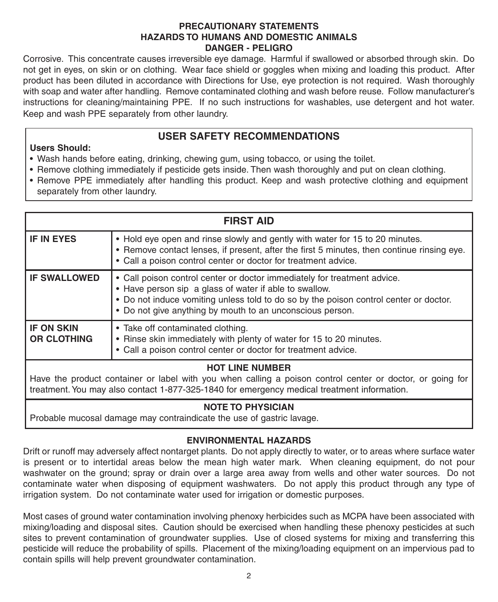#### **PRECAUTIONARY STATEMENTS HAZARDS TO HUMANS AND DOMESTIC ANIMALS DANGER - PELIGRO**

Corrosive. This concentrate causes irreversible eye damage. Harmful if swallowed or absorbed through skin. Do not get in eyes, on skin or on clothing. Wear face shield or goggles when mixing and loading this product. After product has been diluted in accordance with Directions for Use, eye protection is not required. Wash thoroughly with soap and water after handling. Remove contaminated clothing and wash before reuse. Follow manufacturer's instructions for cleaning/maintaining PPE. If no such instructions for washables, use detergent and hot water. Keep and wash PPE separately from other laundry.

#### **USER SAFETY RECOMMENDATIONS**

#### **Users Should:**

- Wash hands before eating, drinking, chewing gum, using tobacco, or using the toilet.
- Remove clothing immediately if pesticide gets inside. Then wash thoroughly and put on clean clothing.
- Remove PPE immediately after handling this product. Keep and wash protective clothing and equipment separately from other laundry.

| <b>FIRST AID</b>                                                                                                                                                                                                                   |                                                                                                                                                                                                                                                                                          |  |
|------------------------------------------------------------------------------------------------------------------------------------------------------------------------------------------------------------------------------------|------------------------------------------------------------------------------------------------------------------------------------------------------------------------------------------------------------------------------------------------------------------------------------------|--|
| <b>IF IN EYES</b>                                                                                                                                                                                                                  | • Hold eye open and rinse slowly and gently with water for 15 to 20 minutes.<br>• Remove contact lenses, if present, after the first 5 minutes, then continue rinsing eye.<br>• Call a poison control center or doctor for treatment advice.                                             |  |
| <b>IF SWALLOWED</b>                                                                                                                                                                                                                | • Call poison control center or doctor immediately for treatment advice.<br>• Have person sip a glass of water if able to swallow.<br>• Do not induce vomiting unless told to do so by the poison control center or doctor.<br>• Do not give anything by mouth to an unconscious person. |  |
| <b>IF ON SKIN</b><br><b>OR CLOTHING</b>                                                                                                                                                                                            | • Take off contaminated clothing.<br>• Rinse skin immediately with plenty of water for 15 to 20 minutes.<br>• Call a poison control center or doctor for treatment advice.                                                                                                               |  |
| <b>HOT LINE NUMBER</b><br>Have the product container or label with you when calling a poison control center or doctor, or going for<br>treatment. You may also contact 1-877-325-1840 for emergency medical treatment information. |                                                                                                                                                                                                                                                                                          |  |

#### **NOTE TO PHYSICIAN**

Probable mucosal damage may contraindicate the use of gastric lavage.

#### **ENVIRONMENTAL HAZARDS**

Drift or runoff may adversely affect nontarget plants. Do not apply directly to water, or to areas where surface water is present or to intertidal areas below the mean high water mark. When cleaning equipment, do not pour washwater on the ground; spray or drain over a large area away from wells and other water sources. Do not contaminate water when disposing of equipment washwaters. Do not apply this product through any type of irrigation system. Do not contaminate water used for irrigation or domestic purposes.

Most cases of ground water contamination involving phenoxy herbicides such as MCPA have been associated with mixing/loading and disposal sites. Caution should be exercised when handling these phenoxy pesticides at such sites to prevent contamination of groundwater supplies. Use of closed systems for mixing and transferring this pesticide will reduce the probability of spills. Placement of the mixing/loading equipment on an impervious pad to contain spills will help prevent groundwater contamination.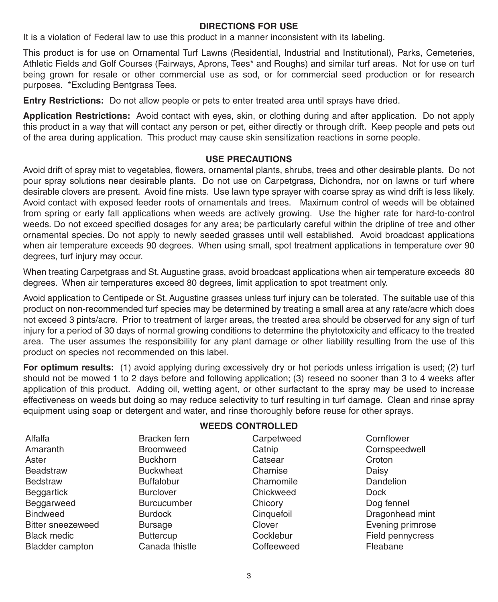#### **DIRECTIONS FOR USE**

It is a violation of Federal law to use this product in a manner inconsistent with its labeling.

This product is for use on Ornamental Turf Lawns (Residential, Industrial and Institutional), Parks, Cemeteries, Athletic Fields and Golf Courses (Fairways, Aprons, Tees\* and Roughs) and similar turf areas. Not for use on turf being grown for resale or other commercial use as sod, or for commercial seed production or for research purposes. \*Excluding Bentgrass Tees.

**Entry Restrictions:** Do not allow people or pets to enter treated area until sprays have dried.

**Application Restrictions:** Avoid contact with eyes, skin, or clothing during and after application. Do not apply this product in a way that will contact any person or pet, either directly or through drift. Keep people and pets out of the area during application. This product may cause skin sensitization reactions in some people.

#### **USE PRECAUTIONS**

Avoid drift of spray mist to vegetables, flowers, ornamental plants, shrubs, trees and other desirable plants. Do not pour spray solutions near desirable plants. Do not use on Carpetgrass, Dichondra, nor on lawns or turf where desirable clovers are present. Avoid fine mists. Use lawn type sprayer with coarse spray as wind drift is less likely. Avoid contact with exposed feeder roots of ornamentals and trees. Maximum control of weeds will be obtained from spring or early fall applications when weeds are actively growing. Use the higher rate for hard-to-control weeds. Do not exceed specified dosages for any area; be particularly careful within the dripline of tree and other ornamental species. Do not apply to newly seeded grasses until well established. Avoid broadcast applications when air temperature exceeds 90 degrees. When using small, spot treatment applications in temperature over 90 degrees, turf injury may occur.

When treating Carpetgrass and St. Augustine grass, avoid broadcast applications when air temperature exceeds 80 degrees. When air temperatures exceed 80 degrees, limit application to spot treatment only.

Avoid application to Centipede or St. Augustine grasses unless turf injury can be tolerated. The suitable use of this product on non-recommended turf species may be determined by treating a small area at any rate/acre which does not exceed 3 pints/acre. Prior to treatment of larger areas, the treated area should be observed for any sign of turf injury for a period of 30 days of normal growing conditions to determine the phytotoxicity and efficacy to the treated area. The user assumes the responsibility for any plant damage or other liability resulting from the use of this product on species not recommended on this label.

**For optimum results:** (1) avoid applying during excessively dry or hot periods unless irrigation is used; (2) turf should not be mowed 1 to 2 days before and following application; (3) reseed no sooner than 3 to 4 weeks after application of this product. Adding oil, wetting agent, or other surfactant to the spray may be used to increase effectiveness on weeds but doing so may reduce selectivity to turf resulting in turf damage. Clean and rinse spray equipment using soap or detergent and water, and rinse thoroughly before reuse for other sprays.

|                        | weedd controlled   |            |                  |
|------------------------|--------------------|------------|------------------|
| Alfalfa                | Bracken fern       | Carpetweed | Cornflower       |
| Amaranth               | <b>Broomweed</b>   | Catnip     | Cornspeedwell    |
| Aster                  | <b>Buckhorn</b>    | Catsear    | Croton           |
| Beadstraw              | <b>Buckwheat</b>   | Chamise    | Daisy            |
| Bedstraw               | <b>Buffalobur</b>  | Chamomile  | Dandelion        |
| Beggartick             | <b>Burclover</b>   | Chickweed  | Dock             |
| Beggarweed             | <b>Burcucumber</b> | Chicory    | Dog fennel       |
| Bindweed               | <b>Burdock</b>     | Cinquefoil | Dragonhead mint  |
| Bitter sneezeweed      | <b>Bursage</b>     | Clover     | Evening primrose |
| Black medic            | <b>Buttercup</b>   | Cocklebur  | Field pennycress |
| <b>Bladder campton</b> | Canada thistle     | Coffeeweed | Fleabane         |
|                        |                    |            |                  |

### **WEEDS CONTROLLED**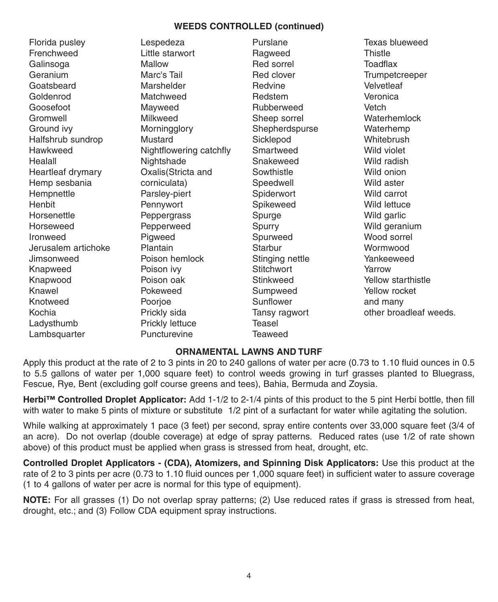#### **WEEDS CONTROLLED (continued)**

Florida pusley **Frenchweed** Galinsoga Geranium Goatsbeard Goldenrod Goosefoot Gromwell Ground ivy Halfshrub sundrop Hawkweed Healall Heartleaf drymary Hemp sesbania Hempnettle Henbit Horsenettle Horseweed Ironweed Jerusalem artichoke Jimsonweed Knapweed Knapwood Knawel Knotweed Kochia Ladysthumb Lambsquarter

Lespedeza Little starwort Mallow Marc's Tail Marshelder **Matchweed** Mayweed Milkweed **Morningglory** Mustard Nightflowering catchfly **Nightshade** Oxalis(Stricta and corniculata) Parsley-piert Pennywort Peppergrass Pepperweed Piaweed Plantain Poison hemlock Poison ivy Poison oak Pokeweed Poorioe Prickly sida Prickly lettuce Puncturevine

Purslane Ragweed Red sorrel Red clover Redvine Redstem Rubberweed Sheep sorrel **Shepherdspurse Sicklepod** Smartweed Snakeweed **Sowthistle Speedwell Spiderwort** Spikeweed Spurge Spurry Spurweed **Starbur** Stinging nettle **Stitchwort** Stinkweed Sumpweed Sunflower Tansy ragwort Teasel Teaweed

Texas blueweed Thistle Toadflax **Trumpetcreeper Velvetleaf** Veronica Vetch **Waterhemlock** Waterhemp Whitebrush Wild violet Wild radish Wild onion Wild aster Wild carrot Wild lettuce Wild garlic Wild geranium Wood sorrel **Wormwood** Yankeeweed Yarrow Yellow starthistle Yellow rocket and many other broadleaf weeds.

#### **ORNAMENTAL LAWNS AND TURF**

Apply this product at the rate of 2 to 3 pints in 20 to 240 gallons of water per acre (0.73 to 1.10 fluid ounces in 0.5 to 5.5 gallons of water per 1,000 square feet) to control weeds growing in turf grasses planted to Bluegrass, Fescue, Rye, Bent (excluding golf course greens and tees), Bahia, Bermuda and Zoysia.

**Herbi™ Controlled Droplet Applicator:** Add 1-1/2 to 2-1/4 pints of this product to the 5 pint Herbi bottle, then fill with water to make 5 pints of mixture or substitute 1/2 pint of a surfactant for water while agitating the solution.

While walking at approximately 1 pace (3 feet) per second, spray entire contents over 33,000 square feet (3/4 of an acre). Do not overlap (double coverage) at edge of spray patterns. Reduced rates (use 1/2 of rate shown above) of this product must be applied when grass is stressed from heat, drought, etc.

**Controlled Droplet Applicators - (CDA), Atomizers, and Spinning Disk Applicators:** Use this product at the rate of 2 to 3 pints per acre (0.73 to 1.10 fluid ounces per 1,000 square feet) in sufficient water to assure coverage (1 to 4 gallons of water per acre is normal for this type of equipment).

**NOTE:** For all grasses (1) Do not overlap spray patterns; (2) Use reduced rates if grass is stressed from heat, drought, etc.; and (3) Follow CDA equipment spray instructions.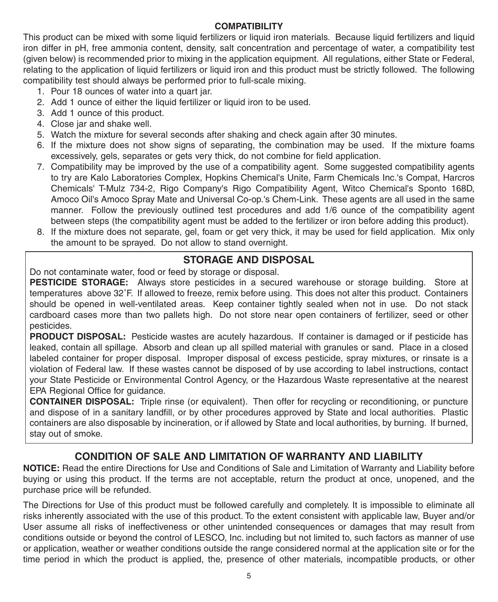#### **COMPATIBILITY**

This product can be mixed with some liquid fertilizers or liquid iron materials. Because liquid fertilizers and liquid iron differ in pH, free ammonia content, density, salt concentration and percentage of water, a compatibility test (given below) is recommended prior to mixing in the application equipment. All regulations, either State or Federal, relating to the application of liquid fertilizers or liquid iron and this product must be strictly followed. The following compatibility test should always be performed prior to full-scale mixing.

- 1. Pour 18 ounces of water into a quart jar.
- 2. Add 1 ounce of either the liquid fertilizer or liquid iron to be used.
- 3. Add 1 ounce of this product.
- 4. Close jar and shake well.
- 5. Watch the mixture for several seconds after shaking and check again after 30 minutes.
- 6. If the mixture does not show signs of separating, the combination may be used. If the mixture foams excessively, gels, separates or gets very thick, do not combine for field application.
- 7. Compatibility may be improved by the use of a compatibility agent. Some suggested compatibility agents to try are Kalo Laboratories Complex, Hopkins Chemical's Unite, Farm Chemicals Inc.'s Compat, Harcros Chemicals' T-Mulz 734-2, Rigo Company's Rigo Compatibility Agent, Witco Chemical's Sponto 168D, Amoco Oil's Amoco Spray Mate and Universal Co-op.'s Chem-Link. These agents are all used in the same manner. Follow the previously outlined test procedures and add 1/6 ounce of the compatibility agent between steps (the compatibility agent must be added to the fertilizer or iron before adding this product).
- 8. If the mixture does not separate, gel, foam or get very thick, it may be used for field application. Mix only the amount to be sprayed. Do not allow to stand overnight.

#### **STORAGE AND DISPOSAL**

Do not contaminate water, food or feed by storage or disposal.

**PESTICIDE STORAGE:** Always store pesticides in a secured warehouse or storage building. Store at temperatures above 32˚F. If allowed to freeze, remix before using. This does not alter this product. Containers should be opened in well-ventilated areas. Keep container tightly sealed when not in use. Do not stack cardboard cases more than two pallets high. Do not store near open containers of fertilizer, seed or other pesticides.

**PRODUCT DISPOSAL:** Pesticide wastes are acutely hazardous. If container is damaged or if pesticide has leaked, contain all spillage. Absorb and clean up all spilled material with granules or sand. Place in a closed labeled container for proper disposal. Improper disposal of excess pesticide, spray mixtures, or rinsate is a violation of Federal law. If these wastes cannot be disposed of by use according to label instructions, contact your State Pesticide or Environmental Control Agency, or the Hazardous Waste representative at the nearest EPA Regional Office for guidance.

**CONTAINER DISPOSAL:** Triple rinse (or equivalent). Then offer for recycling or reconditioning, or puncture and dispose of in a sanitary landfill, or by other procedures approved by State and local authorities. Plastic containers are also disposable by incineration, or if allowed by State and local authorities, by burning. If burned, stay out of smoke.

#### **CONDITION OF SALE AND LIMITATION OF WARRANTY AND LIABILITY**

**NOTICE:** Read the entire Directions for Use and Conditions of Sale and Limitation of Warranty and Liability before buying or using this product. If the terms are not acceptable, return the product at once, unopened, and the purchase price will be refunded.

The Directions for Use of this product must be followed carefully and completely. It is impossible to eliminate all risks inherently associated with the use of this product. To the extent consistent with applicable law, Buyer and/or User assume all risks of ineffectiveness or other unintended consequences or damages that may result from conditions outside or beyond the control of LESCO, Inc. including but not limited to, such factors as manner of use or application, weather or weather conditions outside the range considered normal at the application site or for the time period in which the product is applied, the, presence of other materials, incompatible products, or other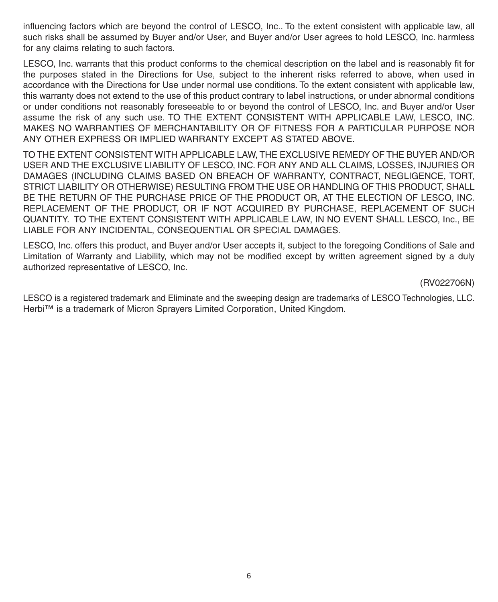influencing factors which are beyond the control of LESCO, Inc.. To the extent consistent with applicable law, all such risks shall be assumed by Buyer and/or User, and Buyer and/or User agrees to hold LESCO, Inc. harmless for any claims relating to such factors.

LESCO, Inc. warrants that this product conforms to the chemical description on the label and is reasonably fit for the purposes stated in the Directions for Use, subject to the inherent risks referred to above, when used in accordance with the Directions for Use under normal use conditions. To the extent consistent with applicable law, this warranty does not extend to the use of this product contrary to label instructions, or under abnormal conditions or under conditions not reasonably foreseeable to or beyond the control of LESCO, Inc. and Buyer and/or User assume the risk of any such use. TO THE EXTENT CONSISTENT WITH APPLICABLE LAW, LESCO, INC. MAKES NO WARRANTIES OF MERCHANTABILITY OR OF FITNESS FOR A PARTICULAR PURPOSE NOR ANY OTHER EXPRESS OR IMPLIED WARRANTY EXCEPT AS STATED ABOVE.

TO THE EXTENT CONSISTENT WITH APPLICABLE LAW, THE EXCLUSIVE REMEDY OF THE BUYER AND/OR USER AND THE EXCLUSIVE LIABILITY OF LESCO, INC. FOR ANY AND ALL CLAIMS, LOSSES, INJURIES OR DAMAGES (INCLUDING CLAIMS BASED ON BREACH OF WARRANTY, CONTRACT, NEGLIGENCE, TORT, STRICT LIABILITY OR OTHERWISE) RESULTING FROM THE USE OR HANDLING OF THIS PRODUCT, SHALL BE THE RETURN OF THE PURCHASE PRICE OF THE PRODUCT OR, AT THE ELECTION OF LESCO, INC. REPLACEMENT OF THE PRODUCT, OR IF NOT ACQUIRED BY PURCHASE, REPLACEMENT OF SUCH QUANTITY. TO THE EXTENT CONSISTENT WITH APPLICABLE LAW, IN NO EVENT SHALL LESCO, Inc., BE LIABLE FOR ANY INCIDENTAL, CONSEQUENTIAL OR SPECIAL DAMAGES.

LESCO, Inc. offers this product, and Buyer and/or User accepts it, subject to the foregoing Conditions of Sale and Limitation of Warranty and Liability, which may not be modified except by written agreement signed by a duly authorized representative of LESCO, Inc.

(RV022706N)

LESCO is a registered trademark and Eliminate and the sweeping design are trademarks of LESCO Technologies, LLC. Herbi™ is a trademark of Micron Sprayers Limited Corporation, United Kingdom.